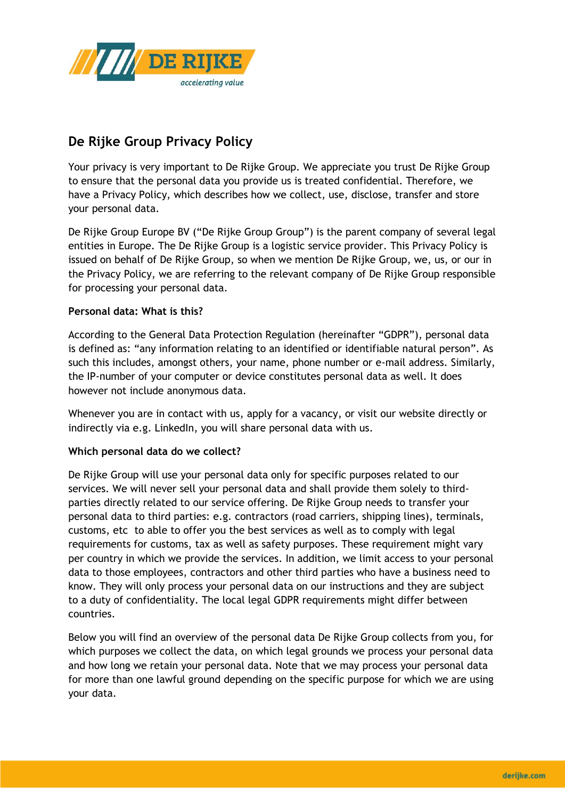

# **De Rijke Group Privacy Policy**

Your privacy is very important to De Rijke Group. We appreciate you trust De Rijke Group to ensure that the personal data you provide us is treated confidential. Therefore, we have a Privacy Policy, which describes how we collect, use, disclose, transfer and store your personal data.

De Rijke Group Europe BV ("De Rijke Group Group") is the parent company of several legal entities in Europe. The De Rijke Group is a logistic service provider. This Privacy Policy is issued on behalf of De Rijke Group, so when we mention De Rijke Group, we, us, or our in the Privacy Policy, we are referring to the relevant company of De Rijke Group responsible for processing your personal data.

# **Personal data: What is this?**

According to the General Data Protection Regulation (hereinafter "GDPR"), personal data is defined as: "any information relating to an identified or identifiable natural person". As such this includes, amongst others, your name, phone number or e-mail address. Similarly, the IP-number of your computer or device constitutes personal data as well. It does however not include anonymous data.

Whenever you are in contact with us, apply for a vacancy, or visit our website directly or indirectly via e.g. LinkedIn, you will share personal data with us.

## **Which personal data do we collect?**

De Rijke Group will use your personal data only for specific purposes related to our services. We will never sell your personal data and shall provide them solely to thirdparties directly related to our service offering. De Rijke Group needs to transfer your personal data to third parties: e.g. contractors (road carriers, shipping lines), terminals, customs, etc to able to offer you the best services as well as to comply with legal requirements for customs, tax as well as safety purposes. These requirement might vary per country in which we provide the services. In addition, we limit access to your personal data to those employees, contractors and other third parties who have a business need to know. They will only process your personal data on our instructions and they are subject to a duty of confidentiality. The local legal GDPR requirements might differ between countries.

Below you will find an overview of the personal data De Rijke Group collects from you, for which purposes we collect the data, on which legal grounds we process your personal data and how long we retain your personal data. Note that we may process your personal data for more than one lawful ground depending on the specific purpose for which we are using your data.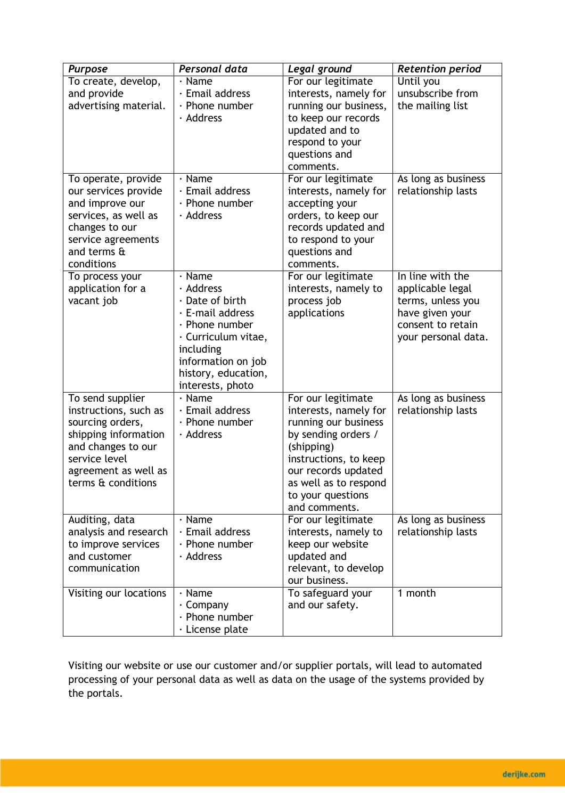| <b>Purpose</b>               | Personal data             | Legal ground          | <b>Retention period</b>              |
|------------------------------|---------------------------|-----------------------|--------------------------------------|
| To create, develop,          | $\cdot$ Name              | For our legitimate    | Until you                            |
| and provide                  | · Email address           | interests, namely for | unsubscribe from                     |
| advertising material.        | $\cdot$ Phone number      | running our business, | the mailing list                     |
|                              | · Address                 | to keep our records   |                                      |
|                              |                           | updated and to        |                                      |
|                              |                           | respond to your       |                                      |
|                              |                           | questions and         |                                      |
|                              |                           | comments.             |                                      |
| To operate, provide          | $\cdot$ Name              | For our legitimate    | As long as business                  |
| our services provide         | $\cdot$ Email address     | interests, namely for | relationship lasts                   |
| and improve our              | $\cdot$ Phone number      | accepting your        |                                      |
| services, as well as         | · Address                 | orders, to keep our   |                                      |
| changes to our               |                           | records updated and   |                                      |
| service agreements           |                           | to respond to your    |                                      |
| and terms $\mathbf{\hat{a}}$ |                           | questions and         |                                      |
| conditions                   |                           | comments.             |                                      |
| To process your              | $\cdot$ Name<br>· Address | For our legitimate    | In line with the                     |
| application for a            | $\cdot$ Date of birth     | interests, namely to  | applicable legal                     |
| vacant job                   | $\cdot$ E-mail address    | process job           | terms, unless you                    |
|                              | $\cdot$ Phone number      | applications          | have given your<br>consent to retain |
|                              | · Curriculum vitae,       |                       |                                      |
|                              | including                 |                       | your personal data.                  |
|                              | information on job        |                       |                                      |
|                              | history, education,       |                       |                                      |
|                              | interests, photo          |                       |                                      |
| To send supplier             | $\cdot$ Name              | For our legitimate    | As long as business                  |
| instructions, such as        | · Email address           | interests, namely for | relationship lasts                   |
| sourcing orders,             | $\cdot$ Phone number      | running our business  |                                      |
| shipping information         | · Address                 | by sending orders /   |                                      |
| and changes to our           |                           | (shipping)            |                                      |
| service level                |                           | instructions, to keep |                                      |
| agreement as well as         |                           | our records updated   |                                      |
| terms & conditions           |                           | as well as to respond |                                      |
|                              |                           | to your questions     |                                      |
|                              |                           | and comments.         |                                      |
| Auditing, data               | $\cdot$ Name              | For our legitimate    | As long as business                  |
| analysis and research        | $\cdot$ Email address     | interests, namely to  | relationship lasts                   |
| to improve services          | $\cdot$ Phone number      | keep our website      |                                      |
| and customer                 | · Address                 | updated and           |                                      |
| communication                |                           | relevant, to develop  |                                      |
|                              |                           | our business.         |                                      |
| Visiting our locations       | $\cdot$ Name              | To safeguard your     | 1 month                              |
|                              | · Company                 | and our safety.       |                                      |
|                              | $\cdot$ Phone number      |                       |                                      |
|                              | · License plate           |                       |                                      |

Visiting our website or use our customer and/or supplier portals, will lead to automated processing of your personal data as well as data on the usage of the systems provided by the portals.